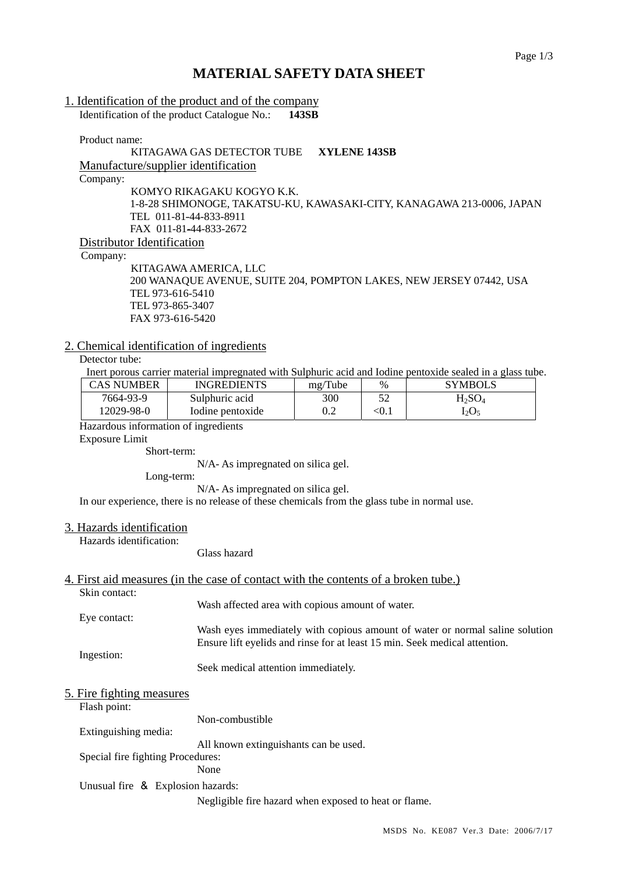# **MATERIAL SAFETY DATA SHEET**

| 1. Identification of the product and of the company |  |  |
|-----------------------------------------------------|--|--|
|                                                     |  |  |

Identification of the product Catalogue No.: **143SB**

Product name:

#### KITAGAWA GAS DETECTOR TUBE **XYLENE 143SB**

Manufacture/supplier identification

Company:

KOMYO RIKAGAKU KOGYO K.K. 1-8-28 SHIMONOGE, TAKATSU-KU, KAWASAKI-CITY, KANAGAWA 213-0006, JAPAN TEL 011-81-44-833-8911 FAX 011-81-44-833-2672

Distributor Identification

Company:

KITAGAWA AMERICA, LLC 200 WANAQUE AVENUE, SUITE 204, POMPTON LAKES, NEW JERSEY 07442, USA TEL 973-616-5410 TEL 973-865-3407 FAX 973-616-5420

### 2. Chemical identification of ingredients

## Detector tube:

Inert porous carrier material impregnated with Sulphuric acid and Iodine pentoxide sealed in a glass tube.

| CAS NUMBER | <b>INGREDIENTS</b> | mg/Tube | %     | <b>SYMBOLS</b>   |
|------------|--------------------|---------|-------|------------------|
| 7664-93-9  | Sulphuric acid     | 300     |       | $_{\rm H_2SO_4}$ |
| 12029-98-0 | Iodine pentoxide   | 0.2     | < 0.1 | $I_2O_5$         |

Hazardous information of ingredients

Exposure Limit

Short-term:

N/A- As impregnated on silica gel.

Long-term:

N/A- As impregnated on silica gel.

In our experience, there is no release of these chemicals from the glass tube in normal use.

### 3. Hazards identification

Hazards identification:

Glass hazard

### 4. First aid measures (in the case of contact with the contents of a broken tube.)

Skin contact: Wash affected area with copious amount of water. Eye contact: Wash eyes immediately with copious amount of water or normal saline solution Ensure lift eyelids and rinse for at least 15 min. Seek medical attention. Ingestion: Seek medical attention immediately.

### 5. Fire fighting measures

Flash point:

Extinguishing media:

All known extinguishants can be used.

Non-combustible

Special fire fighting Procedures:

None

Unusual fire & Explosion hazards:

Negligible fire hazard when exposed to heat or flame.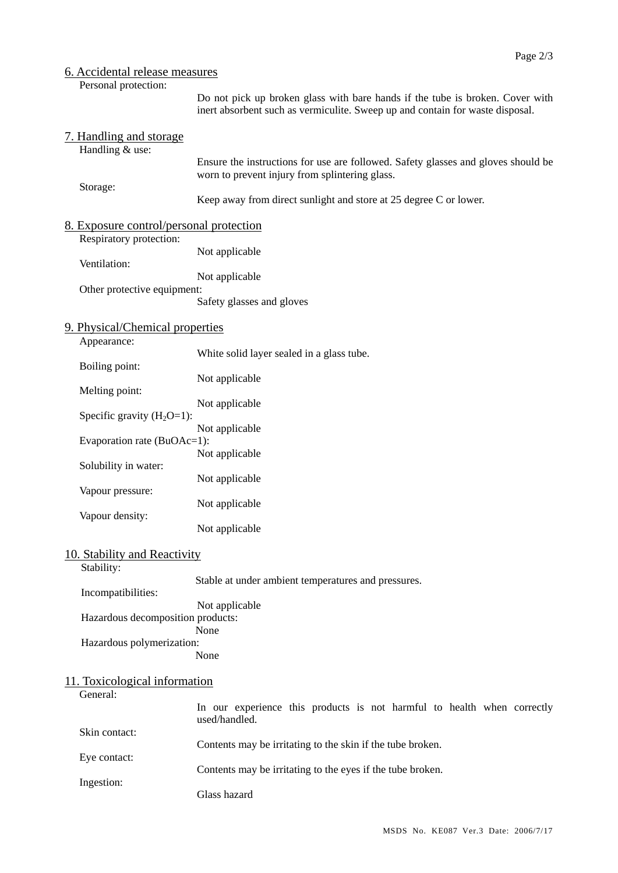# 6. Accidental release measures

Personal protection:

Do not pick up broken glass with bare hands if the tube is broken. Cover with inert absorbent such as vermiculite. Sweep up and contain for waste disposal.

|  | 7. Handling and storage                                                                                                                       |                                                                                                                                     |  |  |  |  |
|--|-----------------------------------------------------------------------------------------------------------------------------------------------|-------------------------------------------------------------------------------------------------------------------------------------|--|--|--|--|
|  | Handling & use:<br>Storage:                                                                                                                   | Ensure the instructions for use are followed. Safety glasses and gloves should be<br>worn to prevent injury from splintering glass. |  |  |  |  |
|  |                                                                                                                                               | Keep away from direct sunlight and store at 25 degree C or lower.                                                                   |  |  |  |  |
|  | 8. Exposure control/personal protection<br>Respiratory protection:                                                                            |                                                                                                                                     |  |  |  |  |
|  | Ventilation:<br>Other protective equipment:                                                                                                   | Not applicable                                                                                                                      |  |  |  |  |
|  |                                                                                                                                               | Not applicable                                                                                                                      |  |  |  |  |
|  |                                                                                                                                               | Safety glasses and gloves                                                                                                           |  |  |  |  |
|  | 9. Physical/Chemical properties<br>Appearance:                                                                                                |                                                                                                                                     |  |  |  |  |
|  | Boiling point:                                                                                                                                | White solid layer sealed in a glass tube.                                                                                           |  |  |  |  |
|  | Melting point:<br>Specific gravity $(H_2O=1)$ :<br>Evaporation rate (BuOAc=1):<br>Solubility in water:<br>Vapour pressure:<br>Vapour density: | Not applicable                                                                                                                      |  |  |  |  |
|  |                                                                                                                                               | Not applicable                                                                                                                      |  |  |  |  |
|  |                                                                                                                                               | Not applicable                                                                                                                      |  |  |  |  |
|  |                                                                                                                                               | Not applicable                                                                                                                      |  |  |  |  |
|  |                                                                                                                                               | Not applicable                                                                                                                      |  |  |  |  |
|  |                                                                                                                                               | Not applicable                                                                                                                      |  |  |  |  |
|  |                                                                                                                                               | Not applicable                                                                                                                      |  |  |  |  |
|  | 10. Stability and Reactivity<br>Stability:                                                                                                    |                                                                                                                                     |  |  |  |  |
|  | Incompatibilities:<br>Hazardous decomposition products:                                                                                       | Stable at under ambient temperatures and pressures.                                                                                 |  |  |  |  |
|  |                                                                                                                                               | Not applicable                                                                                                                      |  |  |  |  |
|  | Hazardous polymerization:                                                                                                                     | None<br>None                                                                                                                        |  |  |  |  |
|  | 11. Toxicological information                                                                                                                 |                                                                                                                                     |  |  |  |  |
|  | General:                                                                                                                                      |                                                                                                                                     |  |  |  |  |
|  |                                                                                                                                               | In our experience this products is not harmful to health when correctly<br>used/handled.                                            |  |  |  |  |
|  | Skin contact:<br>Eye contact:                                                                                                                 | Contents may be irritating to the skin if the tube broken.                                                                          |  |  |  |  |
|  |                                                                                                                                               | Contents may be irritating to the eyes if the tube broken.                                                                          |  |  |  |  |
|  | Ingestion:                                                                                                                                    | Glass hazard                                                                                                                        |  |  |  |  |
|  |                                                                                                                                               |                                                                                                                                     |  |  |  |  |